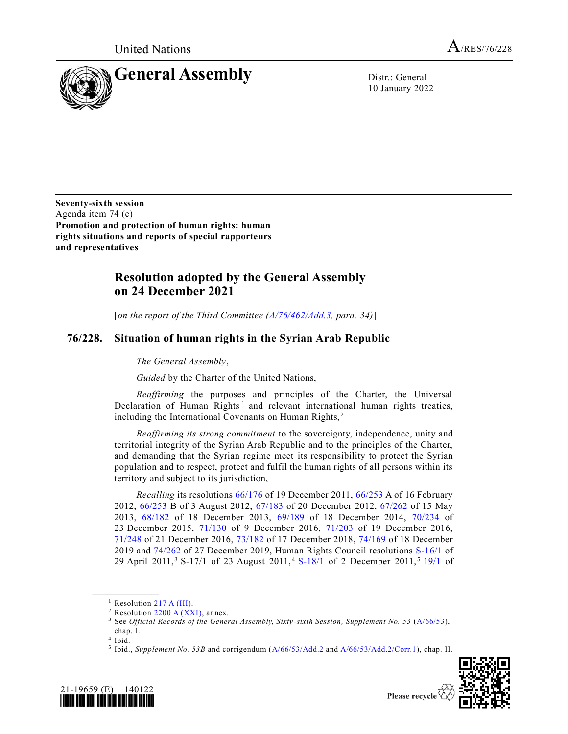

10 January 2022

**Seventy-sixth session** Agenda item 74 (c) **Promotion and protection of human rights: human rights situations and reports of special rapporteurs and representatives**

## **Resolution adopted by the General Assembly on 24 December 2021**

[*on the report of the Third Committee [\(A/76/462/Add.3,](https://undocs.org/en/A/76/462/Add.3) para. 34)*]

## **76/228. Situation of human rights in the Syrian Arab Republic**

*The General Assembly*,

*Guided* by the Charter of the United Nations,

*Reaffirming* the purposes and principles of the Charter, the Universal Declaration of Human Rights<sup>1</sup> and relevant international human rights treaties, including the International Covenants on Human Rights,<sup>2</sup>

*Reaffirming its strong commitment* to the sovereignty, independence, unity and territorial integrity of the Syrian Arab Republic and to the principles of the Charter, and demanding that the Syrian regime meet its responsibility to protect the Syrian population and to respect, protect and fulfil the human rights of all persons within its territory and subject to its jurisdiction,

*Recalling* its resolutions [66/176](https://undocs.org/en/A/RES/66/176) of 19 December 2011, [66/253](https://undocs.org/en/A/RES/66/253) A of 16 February 2012, [66/253](https://undocs.org/en/A/RES/66/253b) B of 3 August 2012, [67/183](https://undocs.org/en/A/RES/67/183) of 20 December 2012, [67/262](https://undocs.org/en/A/RES/67/262) of 15 May 2013, [68/182](https://undocs.org/en/A/RES/68/182) of 18 December 2013, [69/189](https://undocs.org/en/A/RES/69/189) of 18 December 2014, [70/234](https://undocs.org/en/A/RES/70/234) of 23 December 2015, [71/130](https://undocs.org/en/A/RES/71/130) of 9 December 2016, [71/203](https://undocs.org/en/A/RES/71/203) of 19 December 2016, [71/248](https://undocs.org/en/A/RES/71/248) of 21 December 2016, [73/182](https://undocs.org/en/A/RES/73/182) of 17 December 2018, [74/169](https://undocs.org/en/A/RES/74/169) of 18 December 2019 and [74/262](https://undocs.org/en/A/RES/74/262) of 27 December 2019, Human Rights Council resolutions [S-16/1](https://undocs.org/en/A/hrc/RES/S-16/1) of 29 April 2011,<sup>3</sup> S-17/1 of 23 August 2011,<sup>4</sup> [S-18/1](https://undocs.org/en/A/HRC/RES/S-18/1) of 2 December 2011,<sup>5</sup> [19/1](https://undocs.org/en/A/HRC/RES/19/1) of

<sup>&</sup>lt;sup>5</sup> Ibid., *Supplement No. 53B* and corrigendum [\(A/66/53/Add.2](https://undocs.org/en/A/66/53/Add.2) and [A/66/53/Add.2/Corr.1\)](https://undocs.org/en/A/66/53/Add.2/Corr.1), chap. II.





<sup>&</sup>lt;sup>1</sup> Resolution [217 A \(III\).](https://undocs.org/en/A/RES/217(III))

<sup>&</sup>lt;sup>2</sup> Resolution [2200 A \(XXI\),](https://undocs.org/en/A/RES/2200(XXI)) annex.

<sup>3</sup> See *Official Records of the General Assembly, Sixty-sixth Session, Supplement No. 53* [\(A/66/53\)](https://undocs.org/en/A/66/53),

chap. I.

<sup>4</sup> Ibid.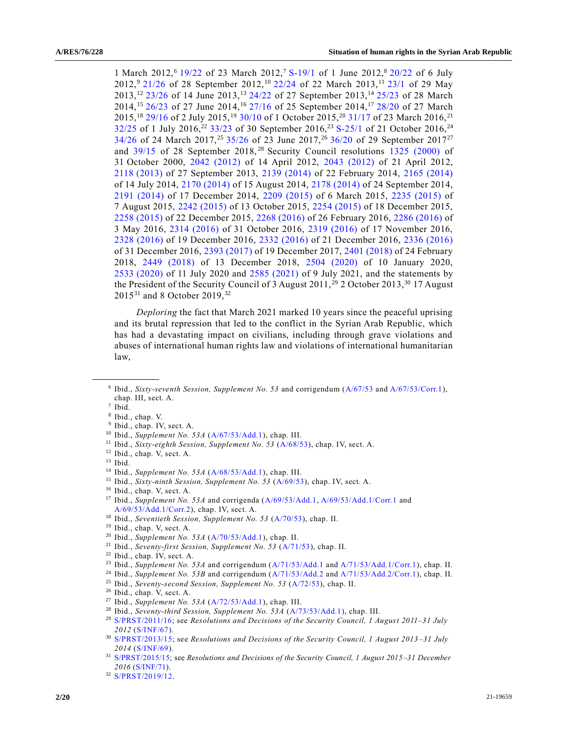1 March 2012,<sup>6</sup> [19/22](https://undocs.org/en/A/HRC/RES/19/22) of 23 March 2012,<sup>7</sup> [S-19/1](https://undocs.org/en/A/HRC/RES/S-19/1) of 1 June 2012,<sup>8</sup> [20/22](https://undocs.org/en/A/HRC/RES/20/22) of 6 July 2012,<sup>9</sup> [21/26](https://undocs.org/en/A/HRC/RES/21/26) of 28 September 2012,<sup>10</sup> [22/24](https://undocs.org/en/A/HRC/RES/22/24) of 22 March 2013,<sup>11</sup> [23/1](https://undocs.org/en/A/HRC/RES/23/1) of 29 May 2013,<sup>12</sup> [23/26](https://undocs.org/en/A/HRC/RES/23/26) of 14 June 2013,<sup>13</sup> [24/22](https://undocs.org/en/A/HRC/RES/24/22) of 27 September 2013,<sup>14</sup> [25/23](https://undocs.org/en/A/HRC/RES/25/23) of 28 March 2014,<sup>15</sup> [26/23](https://undocs.org/en/A/HRC/RES/26/23) of 27 June 2014,<sup>16</sup> [27/16](https://undocs.org/en/A/HRC/RES/27/16) of 25 September 2014,<sup>17</sup> [28/20](https://undocs.org/en/A/HRC/RES/28/20) of 27 March 2015,<sup>18</sup> [29/16](https://undocs.org/en/A/HRC/RES/29/16) of 2 July 2015,<sup>19</sup> [30/10](https://undocs.org/en/A/HRC/RES/30/10) of 1 October 2015,<sup>20</sup> [31/17](https://undocs.org/en/A/HRC/RES/31/17) of 23 March 2016,<sup>21</sup> [32/25](https://undocs.org/en/A/HRC/RES/32/25) of 1 July 2016,<sup>22</sup> [33/23](https://undocs.org/en/A/HRC/RES/33/23) of 30 September 2016,<sup>23</sup> [S-25/1](https://undocs.org/en/A/HRC/RES/S-25/1) of 21 October 2016,<sup>24</sup> [34/26](https://undocs.org/en/A/HRC/RES/34/26) of 24 March 2017,<sup>25</sup> [35/26](https://undocs.org/en/A/HRC/RES/35/26) of 23 June 2017,<sup>26</sup> [36/20](https://undocs.org/en/A/HRC/RES/36/20) of 29 September 2017<sup>27</sup> and  $39/15$  of 28 September 2018,<sup>28</sup> Security Council resolutions [1325 \(2000\)](https://undocs.org/en/S/RES/1325(2000)) of 31 October 2000, [2042 \(2012\)](https://undocs.org/en/S/RES/2042(2012)) of 14 April 2012, [2043 \(2012\)](https://undocs.org/en/S/RES/2043(2012)) of 21 April 2012, 2118 [\(2013\)](https://undocs.org/en/S/RES/2118(2013)) of 27 September 2013, [2139 \(2014\)](https://undocs.org/en/S/RES/2139(2014)) of 22 February 2014, [2165 \(2014\)](https://undocs.org/en/S/RES/2165(2014)) of 14 July 2014, [2170 \(2014\)](https://undocs.org/en/S/RES/2170(2014)) of 15 August 2014, [2178 \(2014\)](https://undocs.org/en/S/RES/2178(2014)) of 24 September 2014, [2191 \(2014\)](https://undocs.org/en/S/RES/2191(2014)) of 17 December 2014, [2209 \(2015\)](https://undocs.org/en/S/RES/2209(2015)) of 6 March 2015, [2235 \(2015\)](https://undocs.org/en/S/RES/2235(2015)) of 7 August 2015, [2242 \(2015\)](https://undocs.org/en/S/RES/2242(2015)) of 13 October 2015, [2254 \(2015\)](https://undocs.org/en/S/RES/2254(2015)) of 18 December 2015, [2258 \(2015\)](https://undocs.org/en/S/RES/2258(2015)) of 22 December 2015, [2268 \(2016\)](https://undocs.org/en/S/RES/2268(2016)) of 26 February 2016, [2286 \(2016\)](https://undocs.org/en/S/RES/2286(2016)) of 3 May 2016, [2314 \(2016\)](https://undocs.org/en/S/RES/2314(2016)) of 31 October 2016, [2319 \(2016\)](https://undocs.org/en/S/RES/2319(2016)) of 17 November 2016, [2328 \(2016\)](https://undocs.org/en/S/RES/2328(2016)) of 19 December 2016, [2332 \(2016\)](https://undocs.org/en/S/RES/2332(2016)) of 21 December 2016, [2336 \(2016\)](https://undocs.org/en/S/RES/2336(2016)) of 31 December 2016, [2393 \(2017\)](https://undocs.org/en/S/RES/2393(2017)) of 19 December 2017, [2401 \(2018\)](https://undocs.org/en/S/RES/2401(2018)) of 24 February 2018, [2449 \(2018\)](https://undocs.org/en/S/RES/2449(2018)) of 13 December 2018, [2504 \(2020\)](https://undocs.org/en/S/RES/2504(2020)) of 10 January 2020, 2533 [\(2020\)](https://undocs.org/en/S/RES/2533(2020)) of 11 July 2020 and [2585 \(2021\)](https://undocs.org/en/S/RES/2585(2021)) of 9 July 2021, and the statements by the President of the Security Council of 3 August  $2011$ , <sup>29</sup> 2 October 2013, <sup>30</sup> 17 August 2015<sup>31</sup> and 8 October 2019,<sup>32</sup>

*Deploring* the fact that March 2021 marked 10 years since the peaceful uprising and its brutal repression that led to the conflict in the Syrian Arab Republic, which has had a devastating impact on civilians, including through grave violations and abuses of international human rights law and violations of international humanitarian law,

- <sup>17</sup> Ibid., *Supplement No. 53A* and corrigenda [\(A/69/53/Add.1,](https://undocs.org/en/A/69/53/Add.1) [A/69/53/Add.1/Corr.1](https://undocs.org/en/A/69/53/Add.1/Corr.1) and [A/69/53/Add.1/Corr.2\)](https://undocs.org/en/A/69/53/Add.1/Corr.2), chap. IV, sect. A.
- <sup>18</sup> Ibid., *Seventieth Session, Supplement No. 53* [\(A/70/53\)](https://undocs.org/en/A/70/53), chap. II.

- <sup>23</sup> Ibid., *Supplement No. 53A* and corrigendum [\(A/71/53/Add.1](https://undocs.org/en/A/71/53/Add.1) and [A/71/53/Add.1/Corr.1\)](https://undocs.org/en/A/71/53/Add.1/Corr.1), chap. II.
- <sup>24</sup> Ibid., *Supplement No. 53B* and corrigendum [\(A/71/53/Add.2](https://undocs.org/en/A/71/53/Add.2) and [A/71/53/Add.2/Corr.1\)](https://undocs.org/en/A/71/53/Add.2/Corr.1), chap. II.
- <sup>25</sup> Ibid., *Seventy-second Session, Supplement No. 53* [\(A/72/53\)](https://undocs.org/en/A/72/53), chap. II.
- <sup>26</sup> Ibid., chap. V, sect. A.
- <sup>27</sup> Ibid., *Supplement No. 53A* [\(A/72/53/Add.1\)](https://undocs.org/en/A/72/53/Add.1), chap. III.
- <sup>28</sup> Ibid., *Seventy-third Session, Supplement No. 53A* [\(A/73/53/Add.1\)](https://undocs.org/en/A/73/53/Add.1), chap. III.
- <sup>29</sup> [S/PRST/2011/16;](https://undocs.org/en/S/PRST/2011/16) see *Resolutions and Decisions of the Security Council, 1 August 2011–31 July 2012* [\(S/INF/67\)](https://undocs.org/en/S/INF/67).
- <sup>30</sup> [S/PRST/2013/15;](https://undocs.org/en/S/PRST/2013/15) see *Resolutions and Decisions of the Security Council, 1 August 2013 –31 July 2014* [\(S/INF/69\)](https://undocs.org/en/S/INF/69).
- <sup>31</sup> [S/PRST/2015/15;](https://undocs.org/en/S/PRST/2015/15) see *Resolutions and Decisions of the Security Council, 1 August 2015–31 December 2016* [\(S/INF/71\)](https://undocs.org/en/S/INF/71).

<sup>6</sup> Ibid., *Sixty-seventh Session, Supplement No. 53* and corrigendum [\(A/67/53](https://undocs.org/en/A/67/53) an[d A/67/53/Corr.1\)](https://undocs.org/en/A/67/53/Corr.1), chap. III, sect. A.

<sup>7</sup> Ibid.

<sup>8</sup> Ibid., chap. V.

<sup>&</sup>lt;sup>9</sup> Ibid., chap. IV, sect. A.

<sup>10</sup> Ibid., *Supplement No. 53A* [\(A/67/53/Add.1\)](https://undocs.org/en/A/67/53/Add.1), chap. III.

<sup>11</sup> Ibid., *Sixty-eighth Session, Supplement No. 53* [\(A/68/53\)](https://undocs.org/en/A/68/53), chap. IV, sect. A.

<sup>12</sup> Ibid., chap. V, sect. A.

 $13$  Ibid.

<sup>14</sup> Ibid., *Supplement No. 53A* [\(A/68/53/Add.1\)](https://undocs.org/en/A/68/53/Add.1), chap. III.

<sup>15</sup> Ibid., *Sixty-ninth Session, Supplement No. 53* [\(A/69/53\)](https://undocs.org/en/A/69/53), chap. IV, sect. A.

<sup>16</sup> Ibid., chap. V, sect. A.

<sup>19</sup> Ibid., chap. V, sect. A.

<sup>20</sup> Ibid., *Supplement No. 53A* [\(A/70/53/Add.1\)](https://undocs.org/en/A/70/53/Add.1), chap. II.

<sup>21</sup> Ibid., *Seventy-first Session, Supplement No. 53* [\(A/71/53\)](https://undocs.org/en/A/71/53), chap. II.

<sup>22</sup> Ibid., chap. IV, sect. A.

<sup>32</sup> [S/PRST/2019/12.](https://undocs.org/en/S/PRST/2019/12)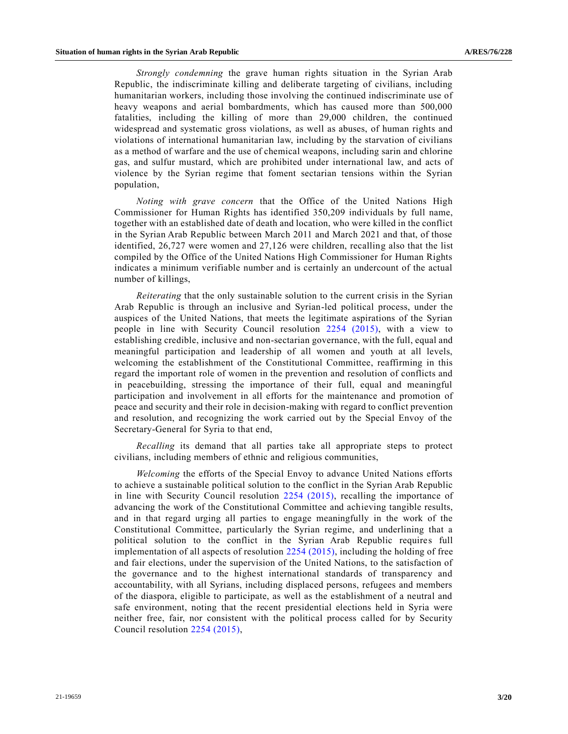*Strongly condemning* the grave human rights situation in the Syrian Arab Republic, the indiscriminate killing and deliberate targeting of civilians, including humanitarian workers, including those involving the continued indiscriminate use of heavy weapons and aerial bombardments, which has caused more than 500,000 fatalities, including the killing of more than 29,000 children, the continued widespread and systematic gross violations, as well as abuses, of human rights and violations of international humanitarian law, including by the starvation of civilians as a method of warfare and the use of chemical weapons, including sarin and chlorine gas, and sulfur mustard, which are prohibited under international law, and acts of violence by the Syrian regime that foment sectarian tensions within the Syrian population,

*Noting with grave concern* that the Office of the United Nations High Commissioner for Human Rights has identified 350,209 individuals by full name, together with an established date of death and location, who were killed in the conflict in the Syrian Arab Republic between March 2011 and March 2021 and that, of those identified, 26,727 were women and 27,126 were children, recalling also that the list compiled by the Office of the United Nations High Commissioner for Human Rights indicates a minimum verifiable number and is certainly an undercount of the actual number of killings,

*Reiterating* that the only sustainable solution to the current crisis in the Syrian Arab Republic is through an inclusive and Syrian-led political process, under the auspices of the United Nations, that meets the legitimate aspirations of the Syrian people in line with Security Council resolution [2254 \(2015\),](https://undocs.org/en/S/RES/2254(2015)) with a view to establishing credible, inclusive and non-sectarian governance, with the full, equal and meaningful participation and leadership of all women and youth at all levels, welcoming the establishment of the Constitutional Committee, reaffirming in this regard the important role of women in the prevention and resolution of conflicts and in peacebuilding, stressing the importance of their full, equal and meaningful participation and involvement in all efforts for the maintenance and promotion of peace and security and their role in decision-making with regard to conflict prevention and resolution, and recognizing the work carried out by the Special Envoy of the Secretary-General for Syria to that end,

*Recalling* its demand that all parties take all appropriate steps to protect civilians, including members of ethnic and religious communities,

*Welcoming* the efforts of the Special Envoy to advance United Nations efforts to achieve a sustainable political solution to the conflict in the Syrian Arab Republic in line with Security Council resolution [2254 \(2015\),](https://undocs.org/en/S/RES/2254(2015)) recalling the importance of advancing the work of the Constitutional Committee and achieving tangible results, and in that regard urging all parties to engage meaningfully in the work of the Constitutional Committee, particularly the Syrian regime, and underlining that a political solution to the conflict in the Syrian Arab Republic requires full implementation of all aspects of resolution [2254 \(2015\),](https://undocs.org/en/S/RES/2254(2015)) including the holding of free and fair elections, under the supervision of the United Nations, to the satisfaction of the governance and to the highest international standards of transparency and accountability, with all Syrians, including displaced persons, refugees and members of the diaspora, eligible to participate, as well as the establishment of a neutral and safe environment, noting that the recent presidential elections held in Syria were neither free, fair, nor consistent with the political process called for by Security Council resolution [2254 \(2015\),](https://undocs.org/en/S/RES/2254(2015))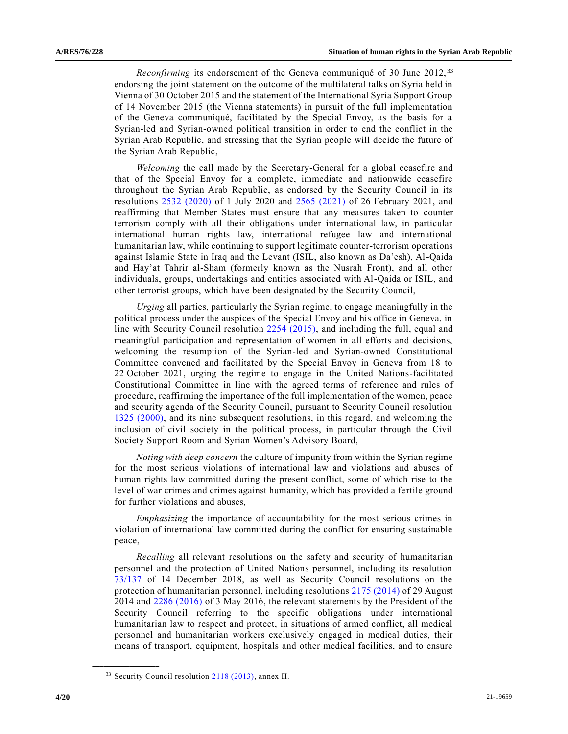*Reconfirming* its endorsement of the Geneva communiqué of 30 June 2012,<sup>33</sup> endorsing the joint statement on the outcome of the multilateral talks on Syria held in Vienna of 30 October 2015 and the statement of the International Syria Support Group of 14 November 2015 (the Vienna statements) in pursuit of the full implementation of the Geneva communiqué, facilitated by the Special Envoy, as the basis for a Syrian-led and Syrian-owned political transition in order to end the conflict in the Syrian Arab Republic, and stressing that the Syrian people will decide the future of the Syrian Arab Republic,

*Welcoming* the call made by the Secretary-General for a global ceasefire and that of the Special Envoy for a complete, immediate and nationwide ceasefire throughout the Syrian Arab Republic, as endorsed by the Security Council in its resolutions [2532 \(2020\)](https://undocs.org/en/S/RES/2532(2020)) of 1 July 2020 and [2565 \(2021\)](https://undocs.org/en/S/RES/2565(2021)) of 26 February 2021, and reaffirming that Member States must ensure that any measures taken to counter terrorism comply with all their obligations under international law, in particular international human rights law, international refugee law and international humanitarian law, while continuing to support legitimate counter-terrorism operations against Islamic State in Iraq and the Levant (ISIL, also known as Da'esh), Al-Qaida and Hay'at Tahrir al-Sham (formerly known as the Nusrah Front), and all other individuals, groups, undertakings and entities associated with Al-Qaida or ISIL, and other terrorist groups, which have been designated by the Security Council,

*Urging* all parties, particularly the Syrian regime, to engage meaningfully in the political process under the auspices of the Special Envoy and his office in Geneva, in line with Security Council resolution [2254 \(2015\),](https://undocs.org/en/S/RES/2254(2015)) and including the full, equal and meaningful participation and representation of women in all efforts and decisions, welcoming the resumption of the Syrian-led and Syrian-owned Constitutional Committee convened and facilitated by the Special Envoy in Geneva from 18 to 22 October 2021, urging the regime to engage in the United Nations-facilitated Constitutional Committee in line with the agreed terms of reference and rules of procedure, reaffirming the importance of the full implementation of the women, peace and security agenda of the Security Council, pursuant to Security Council resolution [1325 \(2000\),](https://undocs.org/en/S/RES/1325(2000)) and its nine subsequent resolutions, in this regard, and welcoming the inclusion of civil society in the political process, in particular through the Civil Society Support Room and Syrian Women's Advisory Board,

*Noting with deep concern* the culture of impunity from within the Syrian regime for the most serious violations of international law and violations and abuses of human rights law committed during the present conflict, some of which rise to the level of war crimes and crimes against humanity, which has provided a fertile ground for further violations and abuses,

*Emphasizing* the importance of accountability for the most serious crimes in violation of international law committed during the conflict for ensuring sustainable peace,

*Recalling* all relevant resolutions on the safety and security of humanitarian personnel and the protection of United Nations personnel, including its resolution [73/137](https://undocs.org/en/A/RES/73/137) of 14 December 2018, as well as Security Council resolutions on the protection of humanitarian personnel, including resolutions [2175 \(2014\)](https://undocs.org/en/S/RES/2175(2014)) of 29 August 2014 and [2286 \(2016\)](https://undocs.org/en/S/RES/2286(2016)) of 3 May 2016, the relevant statements by the President of the Security Council referring to the specific obligations under international humanitarian law to respect and protect, in situations of armed conflict, all medical personnel and humanitarian workers exclusively engaged in medical duties, their means of transport, equipment, hospitals and other medical facilities, and to ensure

<sup>33</sup> Security Council resolution [2118 \(2013\),](https://undocs.org/en/S/RES/2118(2013)) annex II.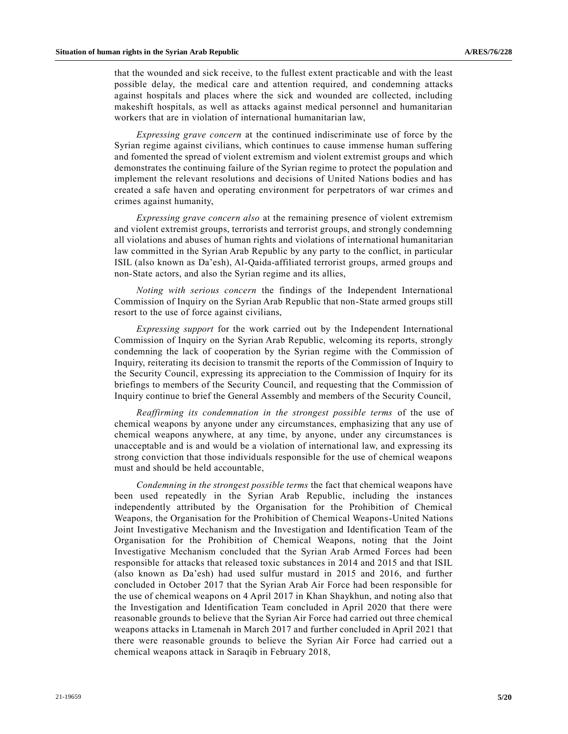that the wounded and sick receive, to the fullest extent practicable and with the least possible delay, the medical care and attention required, and condemning attacks against hospitals and places where the sick and wounded are collected, including makeshift hospitals, as well as attacks against medical personnel and humanitarian workers that are in violation of international humanitarian law,

*Expressing grave concern* at the continued indiscriminate use of force by the Syrian regime against civilians, which continues to cause immense human suffering and fomented the spread of violent extremism and violent extremist groups and which demonstrates the continuing failure of the Syrian regime to protect the population and implement the relevant resolutions and decisions of United Nations bodies and has created a safe haven and operating environment for perpetrators of war crimes and crimes against humanity,

*Expressing grave concern also* at the remaining presence of violent extremism and violent extremist groups, terrorists and terrorist groups, and strongly condemning all violations and abuses of human rights and violations of international humanitarian law committed in the Syrian Arab Republic by any party to the conflict, in particular ISIL (also known as Da'esh), Al-Qaida-affiliated terrorist groups, armed groups and non-State actors, and also the Syrian regime and its allies,

*Noting with serious concern* the findings of the Independent International Commission of Inquiry on the Syrian Arab Republic that non-State armed groups still resort to the use of force against civilians,

*Expressing support* for the work carried out by the Independent International Commission of Inquiry on the Syrian Arab Republic, welcoming its reports, strongly condemning the lack of cooperation by the Syrian regime with the Commission of Inquiry, reiterating its decision to transmit the reports of the Commission of Inquiry to the Security Council, expressing its appreciation to the Commission of Inquiry for its briefings to members of the Security Council, and requesting that the Commission of Inquiry continue to brief the General Assembly and members of the Security Council,

*Reaffirming its condemnation in the strongest possible terms* of the use of chemical weapons by anyone under any circumstances, emphasizing that any use of chemical weapons anywhere, at any time, by anyone, under any circumstances is unacceptable and is and would be a violation of international law, and expressing its strong conviction that those individuals responsible for the use of chemical weapons must and should be held accountable,

*Condemning in the strongest possible terms* the fact that chemical weapons have been used repeatedly in the Syrian Arab Republic, including the instances independently attributed by the Organisation for the Prohibition of Chemical Weapons, the Organisation for the Prohibition of Chemical Weapons-United Nations Joint Investigative Mechanism and the Investigation and Identification Team of the Organisation for the Prohibition of Chemical Weapons, noting that the Joint Investigative Mechanism concluded that the Syrian Arab Armed Forces had been responsible for attacks that released toxic substances in 2014 and 2015 and that ISIL (also known as Da'esh) had used sulfur mustard in 2015 and 2016, and further concluded in October 2017 that the Syrian Arab Air Force had been responsible for the use of chemical weapons on 4 April 2017 in Khan Shaykhun, and noting also that the Investigation and Identification Team concluded in April 2020 that there were reasonable grounds to believe that the Syrian Air Force had carried out three chemical weapons attacks in Ltamenah in March 2017 and further concluded in April 2021 that there were reasonable grounds to believe the Syrian Air Force had carried out a chemical weapons attack in Saraqib in February 2018,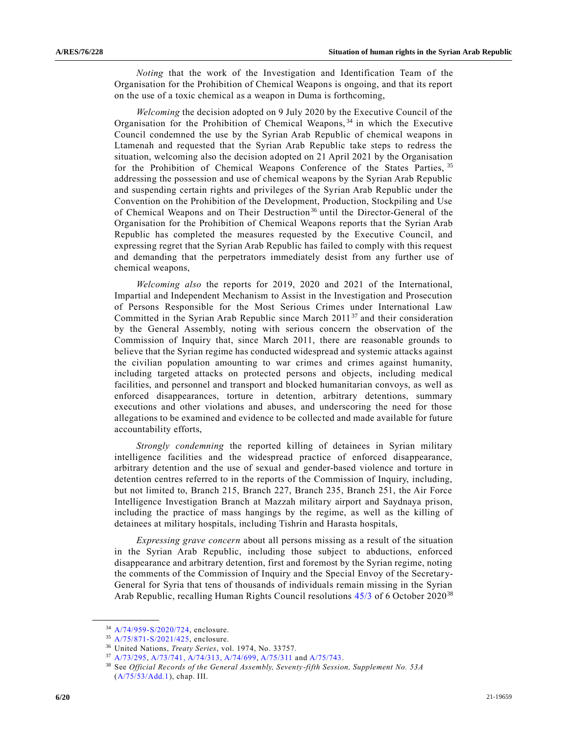*Noting* that the work of the Investigation and Identification Team of the Organisation for the Prohibition of Chemical Weapons is ongoing, and that its report on the use of a toxic chemical as a weapon in Duma is forthcoming,

*Welcoming* the decision adopted on 9 July 2020 by the Executive Council of the Organisation for the Prohibition of Chemical Weapons,<sup>34</sup> in which the Executive Council condemned the use by the Syrian Arab Republic of chemical weapons in Ltamenah and requested that the Syrian Arab Republic take steps to redress the situation, welcoming also the decision adopted on 21 April 2021 by the Organisation for the Prohibition of Chemical Weapons Conference of the States Parties, 35 addressing the possession and use of chemical weapons by the Syrian Arab Republic and suspending certain rights and privileges of the Syrian Arab Republic under the Convention on the Prohibition of the Development, Production, Stockpiling and Use of Chemical Weapons and on Their Destruction<sup>36</sup> until the Director-General of the Organisation for the Prohibition of Chemical Weapons reports that the Syrian Arab Republic has completed the measures requested by the Executive Council, and expressing regret that the Syrian Arab Republic has failed to comply with this request and demanding that the perpetrators immediately desist from any further use of chemical weapons,

*Welcoming also* the reports for 2019, 2020 and 2021 of the International, Impartial and Independent Mechanism to Assist in the Investigation and Prosecution of Persons Responsible for the Most Serious Crimes under International Law Committed in the Syrian Arab Republic since March  $2011^{37}$  and their consideration by the General Assembly, noting with serious concern the observation of the Commission of Inquiry that, since March 2011, there are reasonable grounds to believe that the Syrian regime has conducted widespread and systemic attacks against the civilian population amounting to war crimes and crimes against humanity, including targeted attacks on protected persons and objects, including medical facilities, and personnel and transport and blocked humanitarian convoys, as well as enforced disappearances, torture in detention, arbitrary detentions, summary executions and other violations and abuses, and underscoring the need for those allegations to be examined and evidence to be collected and made available for future accountability efforts,

*Strongly condemning* the reported killing of detainees in Syrian military intelligence facilities and the widespread practice of enforced disappearance, arbitrary detention and the use of sexual and gender-based violence and torture in detention centres referred to in the reports of the Commission of Inquiry, including, but not limited to, Branch 215, Branch 227, Branch 235, Branch 251, the Air Force Intelligence Investigation Branch at Mazzah military airport and Saydnaya prison, including the practice of mass hangings by the regime, as well as the killing of detainees at military hospitals, including Tishrin and Harasta hospitals,

*Expressing grave concern* about all persons missing as a result of the situation in the Syrian Arab Republic, including those subject to abductions, enforced disappearance and arbitrary detention, first and foremost by the Syrian regime, noting the comments of the Commission of Inquiry and the Special Envoy of the Secretary-General for Syria that tens of thousands of individuals remain missing in the Syrian Arab Republic, recalling Human Rights Council resolutions [45/3](https://undocs.org/en/A/hrc/RES/45/3) of 6 October 2020<sup>38</sup>

<sup>34</sup> [A/74/959-S/2020/724,](https://undocs.org/en/A/74/959) enclosure.

<sup>35</sup> [A/75/871-S/2021/425,](https://undocs.org/en/A/75/871) enclosure.

<sup>36</sup> United Nations, *Treaty Series*, vol. 1974, No. 33757.

<sup>37</sup> [A/73/295,](https://undocs.org/en/A/73/295) [A/73/741,](https://undocs.org/en/A/73/741) [A/74/313,](https://undocs.org/en/A/74/313) [A/74/699,](https://undocs.org/en/A/74/699) [A/75/311](https://undocs.org/en/A/75/311) an[d A/75/743.](https://undocs.org/en/A/75/743)

<sup>38</sup> See *Official Records of the General Assembly, Seventy-fifth Session, Supplement No. 53A* [\(A/75/53/Add.1\)](https://undocs.org/en/A/75/53/Add.1), chap. III.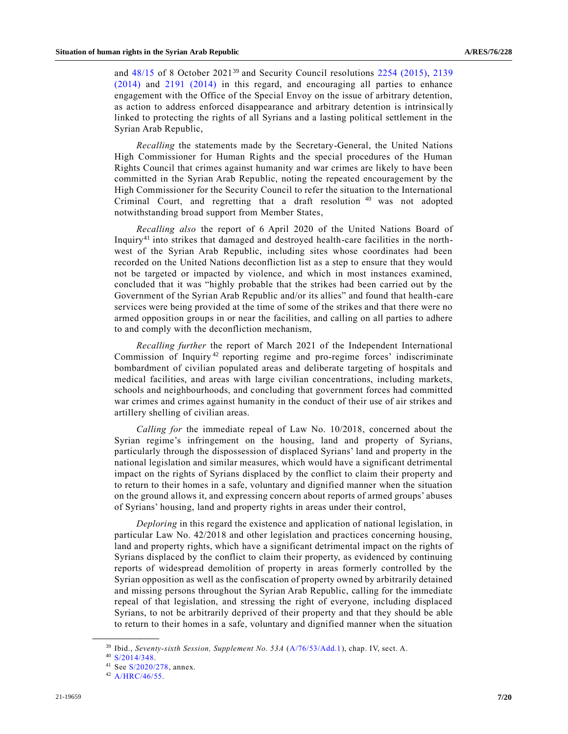and  $48/15$  of 8 October 2021<sup>39</sup> and Security Council resolutions [2254 \(2015\),](https://undocs.org/en/S/RES/2254(2015)) 2139 [\(2014\)](https://undocs.org/en/S/RES/2139(2014)) and [2191 \(2014\)](https://undocs.org/en/S/RES/2191(2014)) in this regard, and encouraging all parties to enhance engagement with the Office of the Special Envoy on the issue of arbitrary detention, as action to address enforced disappearance and arbitrary detention is intrinsically linked to protecting the rights of all Syrians and a lasting political settlement in the Syrian Arab Republic,

*Recalling* the statements made by the Secretary-General, the United Nations High Commissioner for Human Rights and the special procedures of the Human Rights Council that crimes against humanity and war crimes are likely to have been committed in the Syrian Arab Republic, noting the repeated encouragement by the High Commissioner for the Security Council to refer the situation to the International Criminal Court, and regretting that a draft resolution<sup>40</sup> was not adopted notwithstanding broad support from Member States,

*Recalling also* the report of 6 April 2020 of the United Nations Board of Inquiry<sup>41</sup> into strikes that damaged and destroyed health-care facilities in the northwest of the Syrian Arab Republic, including sites whose coordinates had been recorded on the United Nations deconfliction list as a step to ensure that they would not be targeted or impacted by violence, and which in most instances examined, concluded that it was "highly probable that the strikes had been carried out by the Government of the Syrian Arab Republic and/or its allies" and found that health-care services were being provided at the time of some of the strikes and that there were no armed opposition groups in or near the facilities, and calling on all parties to adhere to and comply with the deconfliction mechanism,

*Recalling further* the report of March 2021 of the Independent International Commission of Inquiry<sup>42</sup> reporting regime and pro-regime forces' indiscriminate bombardment of civilian populated areas and deliberate targeting of hospitals and medical facilities, and areas with large civilian concentrations, including markets, schools and neighbourhoods, and concluding that government forces had committed war crimes and crimes against humanity in the conduct of their use of air strikes and artillery shelling of civilian areas.

*Calling for* the immediate repeal of Law No. 10/2018, concerned about the Syrian regime's infringement on the housing, land and property of Syrians, particularly through the dispossession of displaced Syrians' land and property in the national legislation and similar measures, which would have a significant detrimental impact on the rights of Syrians displaced by the conflict to claim their property and to return to their homes in a safe, voluntary and dignified manner when the situation on the ground allows it, and expressing concern about reports of armed groups' abuses of Syrians' housing, land and property rights in areas under their control,

*Deploring* in this regard the existence and application of national legislation, in particular Law No. 42/2018 and other legislation and practices concerning housing, land and property rights, which have a significant detrimental impact on the rights of Syrians displaced by the conflict to claim their property, as evidenced by continuing reports of widespread demolition of property in areas formerly controlled by the Syrian opposition as well as the confiscation of property owned by arbitrarily detained and missing persons throughout the Syrian Arab Republic, calling for the immediate repeal of that legislation, and stressing the right of everyone, including displaced Syrians, to not be arbitrarily deprived of their property and that they should be able to return to their homes in a safe, voluntary and dignified manner when the situation

<sup>39</sup> Ibid., *Seventy-sixth Session, Supplement No. 53A* [\(A/76/53/Add.1\)](https://undocs.org/en/A/76/53/Add.1), chap. IV, sect. A.

<sup>40</sup> [S/2014/348.](https://undocs.org/en/S/2014/348)

<sup>41</sup> See [S/2020/278,](https://undocs.org/en/S/2020/278) annex.

<sup>42</sup> [A/HRC/46/55.](https://undocs.org/en/A/HRC/46/55)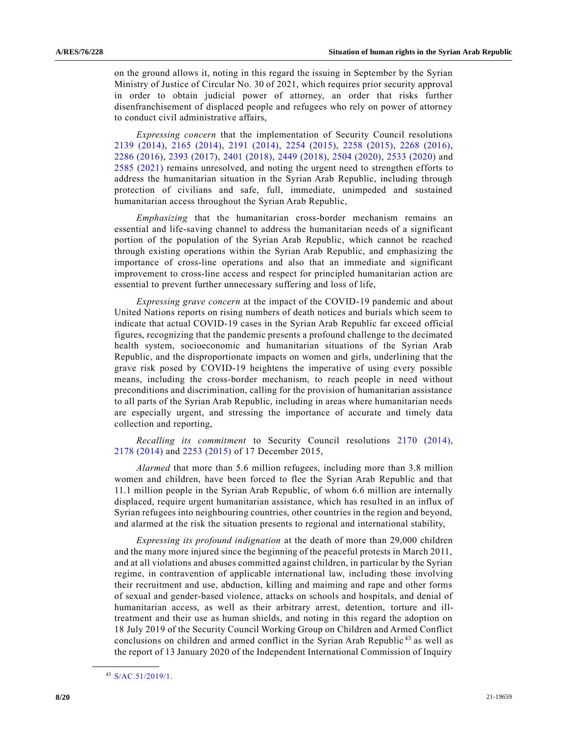on the ground allows it, noting in this regard the issuing in September by the Syrian Ministry of Justice of Circular No. 30 of 2021, which requires prior security approval in order to obtain judicial power of attorney, an order that risks further disenfranchisement of displaced people and refugees who rely on power of attorney to conduct civil administrative affairs,

*Expressing concern* that the implementation of Security Council resolutions [2139 \(2014\),](https://undocs.org/en/S/RES/2139(2014)) [2165 \(2014\),](https://undocs.org/en/S/RES/2165(2014)) [2191 \(2014\),](https://undocs.org/en/S/RES/2191(2014)) [2254 \(2015\),](https://undocs.org/en/S/RES/2254(2015)) [2258 \(2015\),](https://undocs.org/en/S/RES/2258(2015)) [2268 \(2016\),](https://undocs.org/en/S/RES/2268(2016)) 2286 [\(2016\),](https://undocs.org/en/S/RES/2286(2016)) [2393 \(2017\),](https://undocs.org/en/S/RES/2393(2017)) [2401 \(2018\),](https://undocs.org/en/S/RES/2401(2018)) [2449 \(2018\),](https://undocs.org/en/S/RES/2449(2018)) [2504 \(2020\),](https://undocs.org/en/S/RES/2504(2020)) [2533 \(2020\)](https://undocs.org/en/S/RES/2533(2020)) and [2585 \(2021\)](https://undocs.org/en/S/RES/2585(2021)) remains unresolved, and noting the urgent need to strengthen efforts to address the humanitarian situation in the Syrian Arab Republic, including through protection of civilians and safe, full, immediate, unimpeded and sustained humanitarian access throughout the Syrian Arab Republic,

*Emphasizing* that the humanitarian cross-border mechanism remains an essential and life-saving channel to address the humanitarian needs of a significant portion of the population of the Syrian Arab Republic, which cannot be reached through existing operations within the Syrian Arab Republic, and emphasizing the importance of cross-line operations and also that an immediate and significant improvement to cross-line access and respect for principled humanitarian action are essential to prevent further unnecessary suffering and loss of life,

*Expressing grave concern* at the impact of the COVID-19 pandemic and about United Nations reports on rising numbers of death notices and burials which seem to indicate that actual COVID-19 cases in the Syrian Arab Republic far exceed official figures, recognizing that the pandemic presents a profound challenge to the decimated health system, socioeconomic and humanitarian situations of the Syrian Arab Republic, and the disproportionate impacts on women and girls, underlining that the grave risk posed by COVID-19 heightens the imperative of using every possible means, including the cross-border mechanism, to reach people in need without preconditions and discrimination, calling for the provision of humanitarian assistance to all parts of the Syrian Arab Republic, including in areas where humanitarian needs are especially urgent, and stressing the importance of accurate and timely data collection and reporting,

*Recalling its commitment* to Security Council resolutions [2170 \(2014\),](https://undocs.org/en/S/RES/2170(2014)) 2178 [\(2014\)](https://undocs.org/en/S/RES/2178(2014)) and [2253 \(2015\)](https://undocs.org/en/S/RES/2253(2015)) of 17 December 2015,

*Alarmed* that more than 5.6 million refugees, including more than 3.8 million women and children, have been forced to flee the Syrian Arab Republic and that 11.1 million people in the Syrian Arab Republic, of whom 6.6 million are internally displaced, require urgent humanitarian assistance, which has resulted in an influx of Syrian refugees into neighbouring countries, other countries in the region and beyond, and alarmed at the risk the situation presents to regional and international stability,

*Expressing its profound indignation* at the death of more than 29,000 children and the many more injured since the beginning of the peaceful protests in March 2011, and at all violations and abuses committed against children, in particular by the Syrian regime, in contravention of applicable international law, including those involving their recruitment and use, abduction, killing and maiming and rape and other forms of sexual and gender-based violence, attacks on schools and hospitals, and denial of humanitarian access, as well as their arbitrary arrest, detention, torture and illtreatment and their use as human shields, and noting in this regard the adoption on 18 July 2019 of the Security Council Working Group on Children and Armed Conflict conclusions on children and armed conflict in the Syrian Arab Republic<sup>43</sup> as well as the report of 13 January 2020 of the Independent International Commission of Inquiry

<sup>43</sup> [S/AC.51/2019/1.](https://undocs.org/en/S/AC.51/2019/1)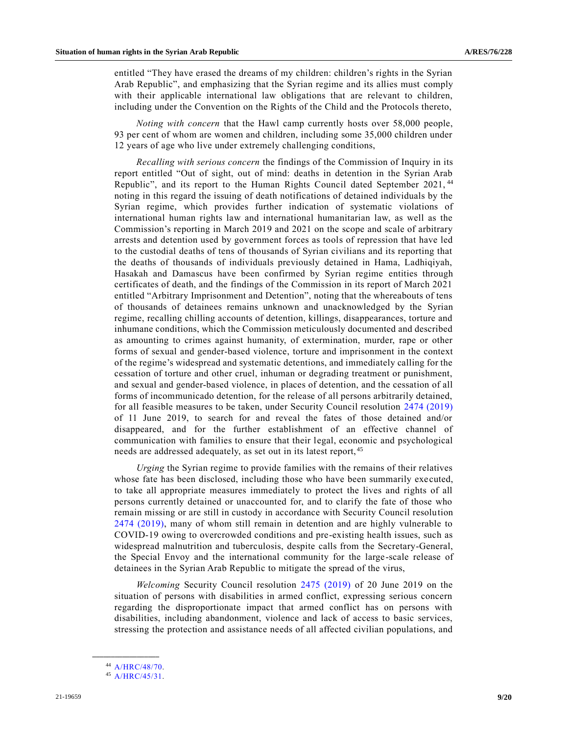entitled "They have erased the dreams of my children: children's rights in the Syrian Arab Republic", and emphasizing that the Syrian regime and its allies must comply with their applicable international law obligations that are relevant to children, including under the Convention on the Rights of the Child and the Protocols thereto,

*Noting with concern* that the Hawl camp currently hosts over 58,000 people, 93 per cent of whom are women and children, including some 35,000 children under 12 years of age who live under extremely challenging conditions,

*Recalling with serious concern* the findings of the Commission of Inquiry in its report entitled "Out of sight, out of mind: deaths in detention in the Syrian Arab Republic", and its report to the Human Rights Council dated September 2021, <sup>44</sup> noting in this regard the issuing of death notifications of detained individuals by the Syrian regime, which provides further indication of systematic violations of international human rights law and international humanitarian law, as well as the Commission's reporting in March 2019 and 2021 on the scope and scale of arbitrary arrests and detention used by government forces as tools of repression that have led to the custodial deaths of tens of thousands of Syrian civilians and its reporting that the deaths of thousands of individuals previously detained in Hama, Ladhiqiyah, Hasakah and Damascus have been confirmed by Syrian regime entities through certificates of death, and the findings of the Commission in its report of March 2021 entitled "Arbitrary Imprisonment and Detention", noting that the whereabouts of tens of thousands of detainees remains unknown and unacknowledged by the Syrian regime, recalling chilling accounts of detention, killings, disappearances, torture and inhumane conditions, which the Commission meticulously documented and described as amounting to crimes against humanity, of extermination, murder, rape or other forms of sexual and gender-based violence, torture and imprisonment in the context of the regime's widespread and systematic detentions, and immediately calling for the cessation of torture and other cruel, inhuman or degrading treatment or punishment, and sexual and gender-based violence, in places of detention, and the cessation of all forms of incommunicado detention, for the release of all persons arbitrarily detained, for all feasible measures to be taken, under Security Council resolution [2474 \(2019\)](https://undocs.org/en/S/RES/2474(2019)) of 11 June 2019, to search for and reveal the fates of those detained and/or disappeared, and for the further establishment of an effective channel of communication with families to ensure that their legal, economic and psychological needs are addressed adequately, as set out in its latest report, <sup>45</sup>

*Urging* the Syrian regime to provide families with the remains of their relatives whose fate has been disclosed, including those who have been summarily executed, to take all appropriate measures immediately to protect the lives and rights of all persons currently detained or unaccounted for, and to clarify the fate of those who remain missing or are still in custody in accordance with Security Council resolution [2474 \(2019\),](https://undocs.org/en/S/RES/2474(2019)) many of whom still remain in detention and are highly vulnerable to COVID-19 owing to overcrowded conditions and pre-existing health issues, such as widespread malnutrition and tuberculosis, despite calls from the Secretary-General, the Special Envoy and the international community for the large-scale release of detainees in the Syrian Arab Republic to mitigate the spread of the virus,

*Welcoming* Security Council resolution [2475 \(2019\)](https://undocs.org/en/S/RES/2475(2019)) of 20 June 2019 on the situation of persons with disabilities in armed conflict, expressing serious concern regarding the disproportionate impact that armed conflict has on persons with disabilities, including abandonment, violence and lack of access to basic services, stressing the protection and assistance needs of all affected civilian populations, and

<sup>44</sup> [A/HRC/48/70.](https://undocs.org/en/A/HRC/48/70)

<sup>45</sup> [A/HRC/45/31.](https://undocs.org/en/A/HRC/45/31)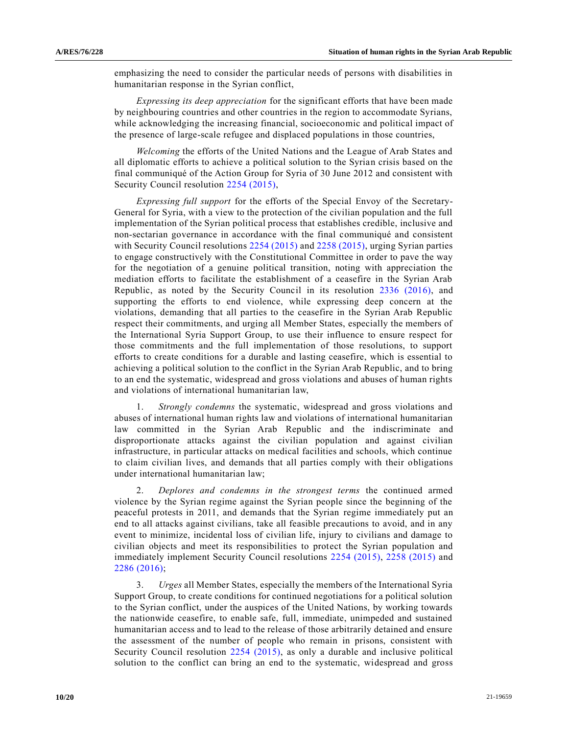emphasizing the need to consider the particular needs of persons with disabilities in humanitarian response in the Syrian conflict,

*Expressing its deep appreciation* for the significant efforts that have been made by neighbouring countries and other countries in the region to accommodate Syrians, while acknowledging the increasing financial, socioeconomic and political impact of the presence of large-scale refugee and displaced populations in those countries,

*Welcoming* the efforts of the United Nations and the League of Arab States and all diplomatic efforts to achieve a political solution to the Syrian crisis based on the final communiqué of the Action Group for Syria of 30 June 2012 and consistent with Security Council resolution [2254 \(2015\),](https://undocs.org/en/S/RES/2254(2015))

*Expressing full support* for the efforts of the Special Envoy of the Secretary-General for Syria, with a view to the protection of the civilian population and the full implementation of the Syrian political process that establishes credible, inclusive and non-sectarian governance in accordance with the final communiqué and consistent with Security Council resolutions [2254 \(2015\)](https://undocs.org/en/S/RES/2254(2015)) and [2258 \(2015\),](https://undocs.org/en/S/RES/2258(2015)) urging Syrian parties to engage constructively with the Constitutional Committee in order to pave the way for the negotiation of a genuine political transition, noting with appreciation the mediation efforts to facilitate the establishment of a ceasefire in the Syrian Arab Republic, as noted by the Security Council in its resolution [2336 \(2016\),](https://undocs.org/en/S/RES/2336(2016)) and supporting the efforts to end violence, while expressing deep concern at the violations, demanding that all parties to the ceasefire in the Syrian Arab Republic respect their commitments, and urging all Member States, especially the members of the International Syria Support Group, to use their influence to ensure respect for those commitments and the full implementation of those resolutions, to support efforts to create conditions for a durable and lasting ceasefire, which is essential to achieving a political solution to the conflict in the Syrian Arab Republic, and to bring to an end the systematic, widespread and gross violations and abuses of human rights and violations of international humanitarian law,

1. *Strongly condemns* the systematic, widespread and gross violations and abuses of international human rights law and violations of international humanitarian law committed in the Syrian Arab Republic and the indiscriminate and disproportionate attacks against the civilian population and against civilian infrastructure, in particular attacks on medical facilities and schools, which continue to claim civilian lives, and demands that all parties comply with their obligations under international humanitarian law;

2. *Deplores and condemns in the strongest terms* the continued armed violence by the Syrian regime against the Syrian people since the beginning of the peaceful protests in 2011, and demands that the Syrian regime immediately put an end to all attacks against civilians, take all feasible precautions to avoid, and in any event to minimize, incidental loss of civilian life, injury to civilians and damage to civilian objects and meet its responsibilities to protect the Syrian population and immediately implement Security Council resolutions [2254 \(2015\),](https://undocs.org/en/S/RES/2254(2015)) [2258 \(2015\)](https://undocs.org/en/S/RES/2258(2015)) and [2286 \(2016\);](https://undocs.org/en/S/RES/2286(2016))

3. *Urges* all Member States, especially the members of the International Syria Support Group, to create conditions for continued negotiations for a political solution to the Syrian conflict, under the auspices of the United Nations, by working towards the nationwide ceasefire, to enable safe, full, immediate, unimpeded and sustained humanitarian access and to lead to the release of those arbitrarily detained and ensure the assessment of the number of people who remain in prisons, consistent with Security Council resolution [2254 \(2015\),](https://undocs.org/en/S/RES/2254(2015)) as only a durable and inclusive political solution to the conflict can bring an end to the systematic, widespread and gross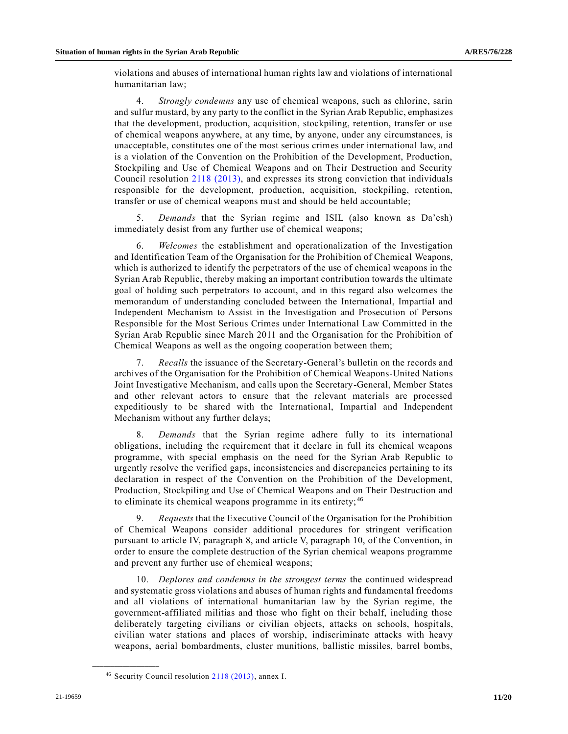violations and abuses of international human rights law and violations of international humanitarian law;

4. *Strongly condemns* any use of chemical weapons, such as chlorine, sarin and sulfur mustard, by any party to the conflict in the Syrian Arab Republic, emphasizes that the development, production, acquisition, stockpiling, retention, transfer or use of chemical weapons anywhere, at any time, by anyone, under any circumstances, is unacceptable, constitutes one of the most serious crimes under international law, and is a violation of the Convention on the Prohibition of the Development, Production, Stockpiling and Use of Chemical Weapons and on Their Destruction and Security Council resolution [2118 \(2013\),](https://undocs.org/en/S/RES/2118(2013)) and expresses its strong conviction that individuals responsible for the development, production, acquisition, stockpiling, retention, transfer or use of chemical weapons must and should be held accountable;

5. *Demands* that the Syrian regime and ISIL (also known as Da'esh) immediately desist from any further use of chemical weapons;

6. *Welcomes* the establishment and operationalization of the Investigation and Identification Team of the Organisation for the Prohibition of Chemical Weapons, which is authorized to identify the perpetrators of the use of chemical weapons in the Syrian Arab Republic, thereby making an important contribution towards the ultimate goal of holding such perpetrators to account, and in this regard also welcomes the memorandum of understanding concluded between the International, Impartial and Independent Mechanism to Assist in the Investigation and Prosecution of Persons Responsible for the Most Serious Crimes under International Law Committed in the Syrian Arab Republic since March 2011 and the Organisation for the Prohibition of Chemical Weapons as well as the ongoing cooperation between them;

7. *Recalls* the issuance of the Secretary-General's bulletin on the records and archives of the Organisation for the Prohibition of Chemical Weapons-United Nations Joint Investigative Mechanism, and calls upon the Secretary-General, Member States and other relevant actors to ensure that the relevant materials are processed expeditiously to be shared with the International, Impartial and Independent Mechanism without any further delays;

8. *Demands* that the Syrian regime adhere fully to its international obligations, including the requirement that it declare in full its chemical weapons programme, with special emphasis on the need for the Syrian Arab Republic to urgently resolve the verified gaps, inconsistencies and discrepancies pertaining to its declaration in respect of the Convention on the Prohibition of the Development, Production, Stockpiling and Use of Chemical Weapons and on Their Destruction and to eliminate its chemical weapons programme in its entirety; <sup>46</sup>

9. *Requests* that the Executive Council of the Organisation for the Prohibition of Chemical Weapons consider additional procedures for stringent verification pursuant to article IV, paragraph 8, and article V, paragraph 10, of the Convention, in order to ensure the complete destruction of the Syrian chemical weapons programme and prevent any further use of chemical weapons;

10. *Deplores and condemns in the strongest terms* the continued widespread and systematic gross violations and abuses of human rights and fundamental freedoms and all violations of international humanitarian law by the Syrian regime, the government-affiliated militias and those who fight on their behalf, including those deliberately targeting civilians or civilian objects, attacks on schools, hospitals, civilian water stations and places of worship, indiscriminate attacks with heavy weapons, aerial bombardments, cluster munitions, ballistic missiles, barrel bombs,

<sup>46</sup> Security Council resolution [2118 \(2013\),](https://undocs.org/en/S/RES/2118(2013)) annex I.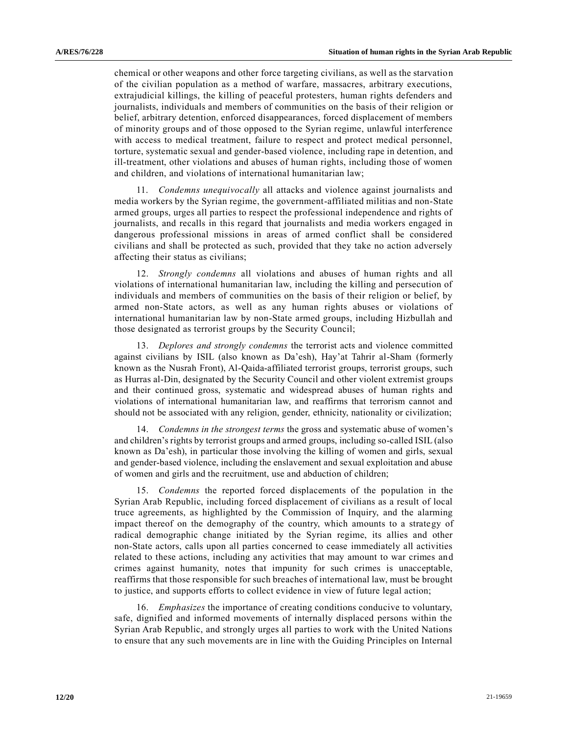chemical or other weapons and other force targeting civilians, as well as the starvation of the civilian population as a method of warfare, massacres, arbitrary executions, extrajudicial killings, the killing of peaceful protesters, human rights defenders and journalists, individuals and members of communities on the basis of their religion or belief, arbitrary detention, enforced disappearances, forced displacement of members of minority groups and of those opposed to the Syrian regime, unlawful interference with access to medical treatment, failure to respect and protect medical personnel, torture, systematic sexual and gender-based violence, including rape in detention, and ill-treatment, other violations and abuses of human rights, including those of women and children, and violations of international humanitarian law;

11. *Condemns unequivocally* all attacks and violence against journalists and media workers by the Syrian regime, the government-affiliated militias and non-State armed groups, urges all parties to respect the professional independence and rights of journalists, and recalls in this regard that journalists and media workers engaged in dangerous professional missions in areas of armed conflict shall be considered civilians and shall be protected as such, provided that they take no action adversely affecting their status as civilians;

12. *Strongly condemns* all violations and abuses of human rights and all violations of international humanitarian law, including the killing and persecution of individuals and members of communities on the basis of their religion or belief, by armed non-State actors, as well as any human rights abuses or violations of international humanitarian law by non-State armed groups, including Hizbullah and those designated as terrorist groups by the Security Council;

13. *Deplores and strongly condemns* the terrorist acts and violence committed against civilians by ISIL (also known as Da'esh), Hay'at Tahrir al-Sham (formerly known as the Nusrah Front), Al-Qaida-affiliated terrorist groups, terrorist groups, such as Hurras al-Din, designated by the Security Council and other violent extremist groups and their continued gross, systematic and widespread abuses of human rights and violations of international humanitarian law, and reaffirms that terrorism cannot and should not be associated with any religion, gender, ethnicity, nationality or civilization;

14. *Condemns in the strongest terms* the gross and systematic abuse of women's and children's rights by terrorist groups and armed groups, including so-called ISIL (also known as Da'esh), in particular those involving the killing of women and girls, sexual and gender-based violence, including the enslavement and sexual exploitation and abuse of women and girls and the recruitment, use and abduction of children;

15. *Condemns* the reported forced displacements of the population in the Syrian Arab Republic, including forced displacement of civilians as a result of local truce agreements, as highlighted by the Commission of Inquiry, and the alarming impact thereof on the demography of the country, which amounts to a strategy of radical demographic change initiated by the Syrian regime, its allies and other non-State actors, calls upon all parties concerned to cease immediately all activities related to these actions, including any activities that may amount to war crimes and crimes against humanity, notes that impunity for such crimes is unacceptable, reaffirms that those responsible for such breaches of international law, must be brought to justice, and supports efforts to collect evidence in view of future legal action;

16. *Emphasizes* the importance of creating conditions conducive to voluntary, safe, dignified and informed movements of internally displaced persons within the Syrian Arab Republic, and strongly urges all parties to work with the United Nations to ensure that any such movements are in line with the Guiding Principles on Internal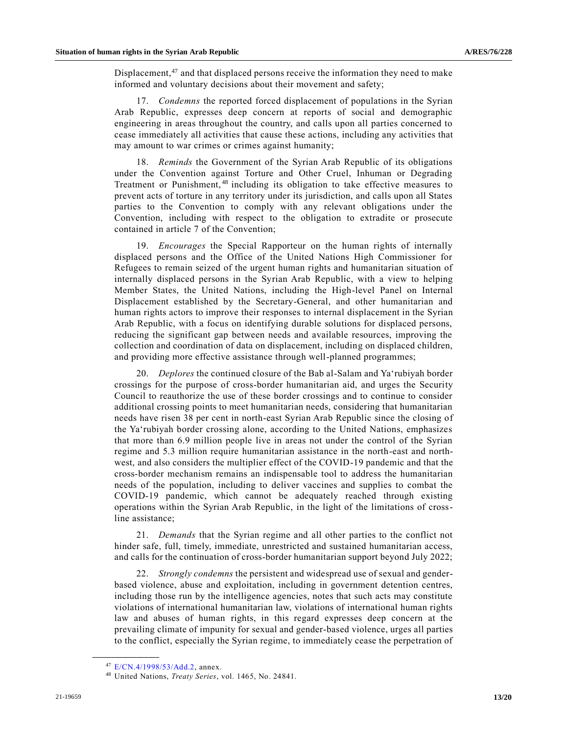Displacement, $47$  and that displaced persons receive the information they need to make informed and voluntary decisions about their movement and safety;

17. *Condemns* the reported forced displacement of populations in the Syrian Arab Republic, expresses deep concern at reports of social and demographic engineering in areas throughout the country, and calls upon all parties concerned to cease immediately all activities that cause these actions, including any activities that may amount to war crimes or crimes against humanity;

18. *Reminds* the Government of the Syrian Arab Republic of its obligations under the Convention against Torture and Other Cruel, Inhuman or Degrading Treatment or Punishment,<sup>48</sup> including its obligation to take effective measures to prevent acts of torture in any territory under its jurisdiction, and calls upon all States parties to the Convention to comply with any relevant obligations under the Convention, including with respect to the obligation to extradite or prosecute contained in article 7 of the Convention;

19. *Encourages* the Special Rapporteur on the human rights of internally displaced persons and the Office of the United Nations High Commissioner for Refugees to remain seized of the urgent human rights and humanitarian situation of internally displaced persons in the Syrian Arab Republic, with a view to helping Member States, the United Nations, including the High-level Panel on Internal Displacement established by the Secretary-General, and other humanitarian and human rights actors to improve their responses to internal displacement in the Syrian Arab Republic, with a focus on identifying durable solutions for displaced persons, reducing the significant gap between needs and available resources, improving the collection and coordination of data on displacement, including on displaced children, and providing more effective assistance through well-planned programmes;

20. *Deplores* the continued closure of the Bab al-Salam and Ya'rubiyah border crossings for the purpose of cross-border humanitarian aid, and urges the Security Council to reauthorize the use of these border crossings and to continue to consider additional crossing points to meet humanitarian needs, considering that humanitarian needs have risen 38 per cent in north-east Syrian Arab Republic since the closing of the Ya'rubiyah border crossing alone, according to the United Nations, emphasizes that more than 6.9 million people live in areas not under the control of the Syrian regime and 5.3 million require humanitarian assistance in the north-east and northwest, and also considers the multiplier effect of the COVID-19 pandemic and that the cross-border mechanism remains an indispensable tool to address the humanitarian needs of the population, including to deliver vaccines and supplies to combat the COVID-19 pandemic, which cannot be adequately reached through existing operations within the Syrian Arab Republic, in the light of the limitations of crossline assistance;

21. *Demands* that the Syrian regime and all other parties to the conflict not hinder safe, full, timely, immediate, unrestricted and sustained humanitarian access, and calls for the continuation of cross-border humanitarian support beyond July 2022;

22. *Strongly condemns* the persistent and widespread use of sexual and genderbased violence, abuse and exploitation, including in government detention centres, including those run by the intelligence agencies, notes that such acts may constitute violations of international humanitarian law, violations of international human rights law and abuses of human rights, in this regard expresses deep concern at the prevailing climate of impunity for sexual and gender-based violence, urges all parties to the conflict, especially the Syrian regime, to immediately cease the perpetration of

<sup>47</sup> [E/CN.4/1998/53/Add.2,](https://undocs.org/en/E/CN.4/1998/53/Add.2) annex.

<sup>48</sup> United Nations, *Treaty Series*, vol. 1465, No. 24841.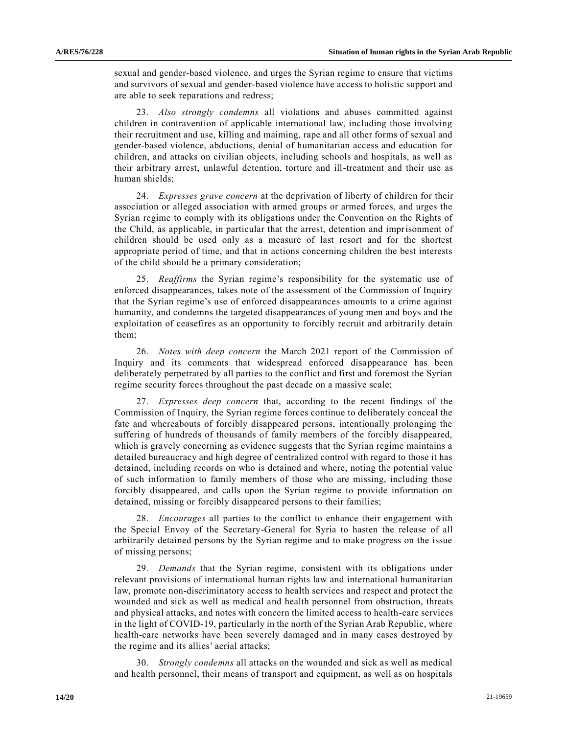sexual and gender-based violence, and urges the Syrian regime to ensure that victims and survivors of sexual and gender-based violence have access to holistic support and are able to seek reparations and redress;

23. *Also strongly condemns* all violations and abuses committed against children in contravention of applicable international law, including those involving their recruitment and use, killing and maiming, rape and all other forms of sexual and gender-based violence, abductions, denial of humanitarian access and education for children, and attacks on civilian objects, including schools and hospitals, as well as their arbitrary arrest, unlawful detention, torture and ill-treatment and their use as human shields;

24. *Expresses grave concern* at the deprivation of liberty of children for their association or alleged association with armed groups or armed forces, and urges the Syrian regime to comply with its obligations under the Convention on the Rights of the Child, as applicable, in particular that the arrest, detention and imprisonment of children should be used only as a measure of last resort and for the shortest appropriate period of time, and that in actions concerning children the best interests of the child should be a primary consideration;

25. *Reaffirms* the Syrian regime's responsibility for the systematic use of enforced disappearances, takes note of the assessment of the Commission of Inquiry that the Syrian regime's use of enforced disappearances amounts to a crime against humanity, and condemns the targeted disappearances of young men and boys and the exploitation of ceasefires as an opportunity to forcibly recruit and arbitrarily detain them;

26. *Notes with deep concern* the March 2021 report of the Commission of Inquiry and its comments that widespread enforced disappearance has been deliberately perpetrated by all parties to the conflict and first and foremost the Syrian regime security forces throughout the past decade on a massive scale;

27. *Expresses deep concern* that, according to the recent findings of the Commission of Inquiry, the Syrian regime forces continue to deliberately conceal the fate and whereabouts of forcibly disappeared persons, intentionally prolonging the suffering of hundreds of thousands of family members of the forcibly disappeared, which is gravely concerning as evidence suggests that the Syrian regime maintains a detailed bureaucracy and high degree of centralized control with regard to those it has detained, including records on who is detained and where, noting the potential value of such information to family members of those who are missing, including those forcibly disappeared, and calls upon the Syrian regime to provide information on detained, missing or forcibly disappeared persons to their families;

28. *Encourages* all parties to the conflict to enhance their engagement with the Special Envoy of the Secretary-General for Syria to hasten the release of all arbitrarily detained persons by the Syrian regime and to make progress on the issue of missing persons;

29. *Demands* that the Syrian regime, consistent with its obligations under relevant provisions of international human rights law and international humanitarian law, promote non-discriminatory access to health services and respect and protect the wounded and sick as well as medical and health personnel from obstruction, threats and physical attacks, and notes with concern the limited access to health-care services in the light of COVID-19, particularly in the north of the Syrian Arab Republic, where health-care networks have been severely damaged and in many cases destroyed by the regime and its allies' aerial attacks;

30. *Strongly condemns* all attacks on the wounded and sick as well as medical and health personnel, their means of transport and equipment, as well as on hospitals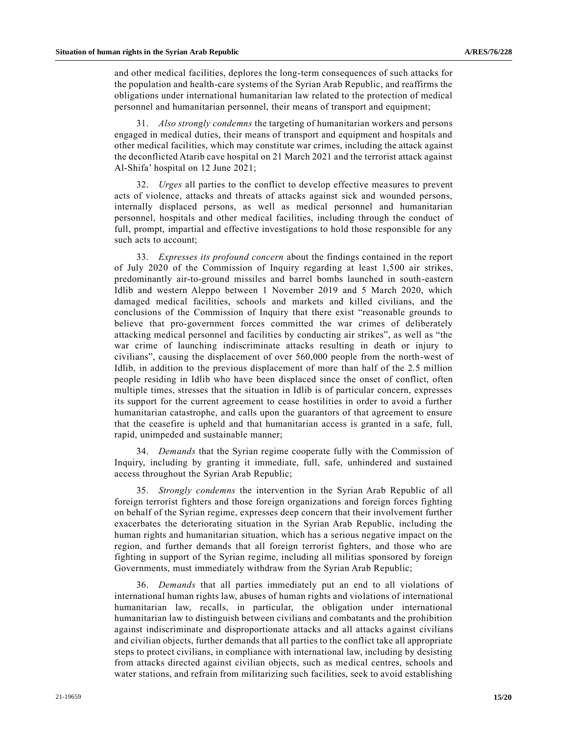and other medical facilities, deplores the long-term consequences of such attacks for the population and health-care systems of the Syrian Arab Republic, and reaffirms the obligations under international humanitarian law related to the protection of medical personnel and humanitarian personnel, their means of transport and equipment;

31. *Also strongly condemns* the targeting of humanitarian workers and persons engaged in medical duties, their means of transport and equipment and hospitals and other medical facilities, which may constitute war crimes, including the attack against the deconflicted Atarib cave hospital on 21 March 2021 and the terrorist attack against Al-Shifa' hospital on 12 June 2021;

32. *Urges* all parties to the conflict to develop effective measures to prevent acts of violence, attacks and threats of attacks against sick and wounded persons, internally displaced persons, as well as medical personnel and humanitarian personnel, hospitals and other medical facilities, including through the conduct of full, prompt, impartial and effective investigations to hold those responsible for any such acts to account;

33. *Expresses its profound concern* about the findings contained in the report of July 2020 of the Commission of Inquiry regarding at least 1,500 air strikes, predominantly air-to-ground missiles and barrel bombs launched in south-eastern Idlib and western Aleppo between 1 November 2019 and 5 March 2020, which damaged medical facilities, schools and markets and killed civilians, and the conclusions of the Commission of Inquiry that there exist "reasonable grounds to believe that pro-government forces committed the war crimes of deliberately attacking medical personnel and facilities by conducting air strikes", as well as "the war crime of launching indiscriminate attacks resulting in death or injury to civilians", causing the displacement of over 560,000 people from the north-west of Idlib, in addition to the previous displacement of more than half of the 2.5 million people residing in Idlib who have been displaced since the onset of conflict, often multiple times, stresses that the situation in Idlib is of particular concern, expresses its support for the current agreement to cease hostilities in order to avoid a further humanitarian catastrophe, and calls upon the guarantors of that agreement to ensure that the ceasefire is upheld and that humanitarian access is granted in a safe, full, rapid, unimpeded and sustainable manner;

34. *Demands* that the Syrian regime cooperate fully with the Commission of Inquiry, including by granting it immediate, full, safe, unhindered and sustained access throughout the Syrian Arab Republic;

35. *Strongly condemns* the intervention in the Syrian Arab Republic of all foreign terrorist fighters and those foreign organizations and foreign forces fighting on behalf of the Syrian regime, expresses deep concern that their involvement further exacerbates the deteriorating situation in the Syrian Arab Republic, including the human rights and humanitarian situation, which has a serious negative impact on the region, and further demands that all foreign terrorist fighters, and those who are fighting in support of the Syrian regime, including all militias sponsored by foreign Governments, must immediately withdraw from the Syrian Arab Republic;

36. *Demands* that all parties immediately put an end to all violations of international human rights law, abuses of human rights and violations of international humanitarian law, recalls, in particular, the obligation under international humanitarian law to distinguish between civilians and combatants and the prohibition against indiscriminate and disproportionate attacks and all attacks against civilians and civilian objects, further demands that all parties to the conflict take all appropriate steps to protect civilians, in compliance with international law, including by desisting from attacks directed against civilian objects, such as medical centres, schools and water stations, and refrain from militarizing such facilities, seek to avoid establishing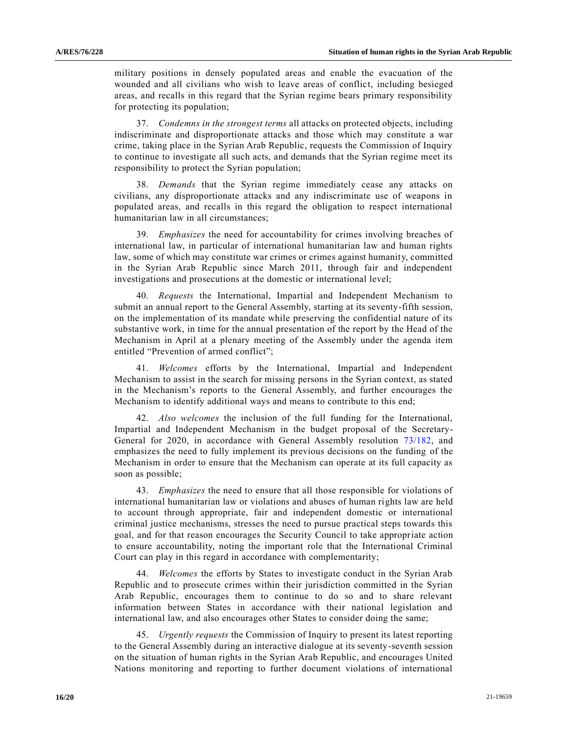military positions in densely populated areas and enable the evacuation of the wounded and all civilians who wish to leave areas of conflict, including besieged areas, and recalls in this regard that the Syrian regime bears primary responsibility for protecting its population;

37. *Condemns in the strongest terms* all attacks on protected objects, including indiscriminate and disproportionate attacks and those which may constitute a war crime, taking place in the Syrian Arab Republic, requests the Commission of Inquiry to continue to investigate all such acts, and demands that the Syrian regime meet its responsibility to protect the Syrian population;

38. *Demands* that the Syrian regime immediately cease any attacks on civilians, any disproportionate attacks and any indiscriminate use of weapons in populated areas, and recalls in this regard the obligation to respect international humanitarian law in all circumstances;

39. *Emphasizes* the need for accountability for crimes involving breaches of international law, in particular of international humanitarian law and human rights law, some of which may constitute war crimes or crimes against humanity, committed in the Syrian Arab Republic since March 2011, through fair and independent investigations and prosecutions at the domestic or international level;

40. *Requests* the International, Impartial and Independent Mechanism to submit an annual report to the General Assembly, starting at its seventy-fifth session, on the implementation of its mandate while preserving the confidential nature of its substantive work, in time for the annual presentation of the report by the Head of the Mechanism in April at a plenary meeting of the Assembly under the agenda item entitled "Prevention of armed conflict";

41. *Welcomes* efforts by the International, Impartial and Independent Mechanism to assist in the search for missing persons in the Syrian context, as stated in the Mechanism's reports to the General Assembly, and further encourages the Mechanism to identify additional ways and means to contribute to this end;

42. *Also welcomes* the inclusion of the full funding for the International, Impartial and Independent Mechanism in the budget proposal of the Secretary-General for 2020, in accordance with General Assembly resolution [73/182,](https://undocs.org/en/A/RES/73/182) and emphasizes the need to fully implement its previous decisions on the funding of the Mechanism in order to ensure that the Mechanism can operate at its full capacity as soon as possible;

43. *Emphasizes* the need to ensure that all those responsible for violations of international humanitarian law or violations and abuses of human rights law are held to account through appropriate, fair and independent domestic or international criminal justice mechanisms, stresses the need to pursue practical steps towards this goal, and for that reason encourages the Security Council to take appropriate action to ensure accountability, noting the important role that the International Criminal Court can play in this regard in accordance with complementarity;

44. *Welcomes* the efforts by States to investigate conduct in the Syrian Arab Republic and to prosecute crimes within their jurisdiction committed in the Syrian Arab Republic, encourages them to continue to do so and to share relevant information between States in accordance with their national legislation and international law, and also encourages other States to consider doing the same;

45. *Urgently requests* the Commission of Inquiry to present its latest reporting to the General Assembly during an interactive dialogue at its seventy-seventh session on the situation of human rights in the Syrian Arab Republic, and encourages United Nations monitoring and reporting to further document violations of international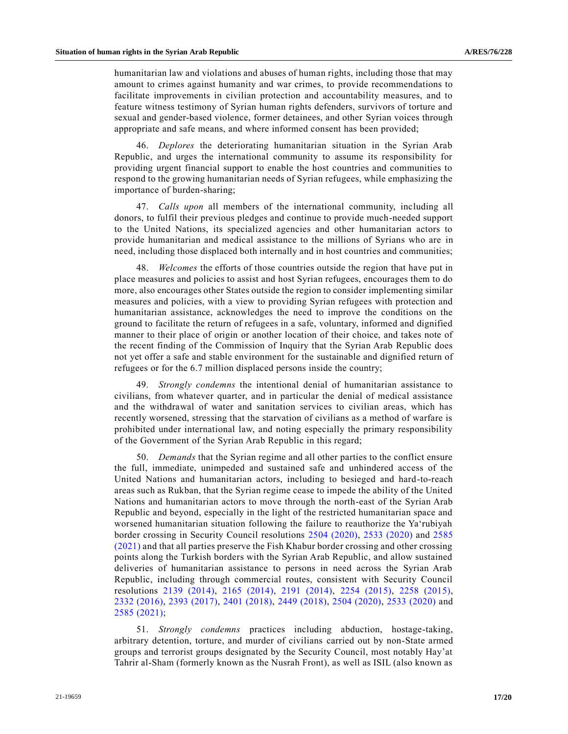humanitarian law and violations and abuses of human rights, including those that may amount to crimes against humanity and war crimes, to provide recommendations to facilitate improvements in civilian protection and accountability measures, and to feature witness testimony of Syrian human rights defenders, survivors of torture and sexual and gender-based violence, former detainees, and other Syrian voices through appropriate and safe means, and where informed consent has been provided;

46. *Deplores* the deteriorating humanitarian situation in the Syrian Arab Republic, and urges the international community to assume its responsibility for providing urgent financial support to enable the host countries and communities to respond to the growing humanitarian needs of Syrian refugees, while emphasizing the importance of burden-sharing;

47. *Calls upon* all members of the international community, including all donors, to fulfil their previous pledges and continue to provide much-needed support to the United Nations, its specialized agencies and other humanitarian actors to provide humanitarian and medical assistance to the millions of Syrians who are in need, including those displaced both internally and in host countries and communities;

48. *Welcomes* the efforts of those countries outside the region that have put in place measures and policies to assist and host Syrian refugees, encourages them to do more, also encourages other States outside the region to consider implementing similar measures and policies, with a view to providing Syrian refugees with protection and humanitarian assistance, acknowledges the need to improve the conditions on the ground to facilitate the return of refugees in a safe, voluntary, informed and dignified manner to their place of origin or another location of their choice, and takes note of the recent finding of the Commission of Inquiry that the Syrian Arab Republic does not yet offer a safe and stable environment for the sustainable and dignified return of refugees or for the 6.7 million displaced persons inside the country;

49. *Strongly condemns* the intentional denial of humanitarian assistance to civilians, from whatever quarter, and in particular the denial of medical assistance and the withdrawal of water and sanitation services to civilian areas, which has recently worsened, stressing that the starvation of civilians as a method of warfare is prohibited under international law, and noting especially the primary responsibility of the Government of the Syrian Arab Republic in this regard;

50. *Demands* that the Syrian regime and all other parties to the conflict ensure the full, immediate, unimpeded and sustained safe and unhindered access of the United Nations and humanitarian actors, including to besieged and hard-to-reach areas such as Rukban, that the Syrian regime cease to impede the ability of the United Nations and humanitarian actors to move through the north-east of the Syrian Arab Republic and beyond, especially in the light of the restricted humanitarian space and worsened humanitarian situation following the failure to reauthorize the Ya'rubiyah border crossing in Security Council resolutions [2504 \(2020\),](https://undocs.org/en/S/RES/2504(2020)) [2533 \(2020\)](https://undocs.org/en/S/RES/2533(2020)) and [2585](https://undocs.org/en/S/RES/2585(2021))  [\(2021\)](https://undocs.org/en/S/RES/2585(2021)) and that all parties preserve the Fish Khabur border crossing and other crossing points along the Turkish borders with the Syrian Arab Republic, and allow sustained deliveries of humanitarian assistance to persons in need across the Syrian Arab Republic, including through commercial routes, consistent with Security Council resolutions [2139 \(2014\),](https://undocs.org/en/S/RES/2139(2014)) [2165 \(2014\),](https://undocs.org/en/S/RES/2165(2014)) [2191 \(2014\),](https://undocs.org/en/S/RES/2191(2014)) [2254 \(2015\),](https://undocs.org/en/S/RES/2254(2015)) [2258 \(2015\),](https://undocs.org/en/S/RES/2258(2015)) 2332 [\(2016\),](https://undocs.org/en/S/RES/2332(2016)) [2393 \(2017\),](https://undocs.org/en/S/RES/2393(2017)) [2401 \(2018\),](https://undocs.org/en/S/RES/2401(2018)) [2449 \(2018\),](https://undocs.org/en/S/RES/2449(2018)) [2504 \(2020\),](https://undocs.org/en/S/RES/2504(2020)) [2533 \(2020\)](https://undocs.org/en/S/RES/2533(2020)) and [2585 \(2021\);](https://undocs.org/en/S/RES/2585(2021))

51. *Strongly condemns* practices including abduction, hostage-taking, arbitrary detention, torture, and murder of civilians carried out by non-State armed groups and terrorist groups designated by the Security Council, most notably Hay'at Tahrir al-Sham (formerly known as the Nusrah Front), as well as ISIL (also known as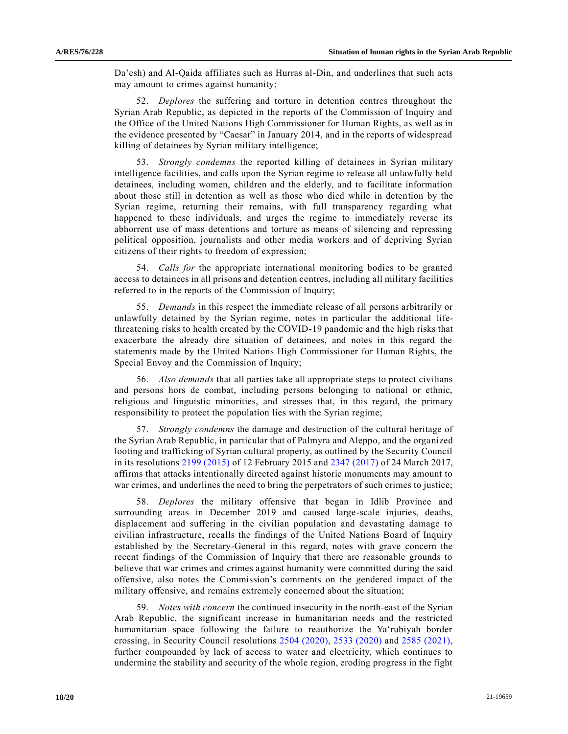Da'esh) and Al-Qaida affiliates such as Hurras al-Din, and underlines that such acts may amount to crimes against humanity;

52. *Deplores* the suffering and torture in detention centres throughout the Syrian Arab Republic, as depicted in the reports of the Commission of Inquiry and the Office of the United Nations High Commissioner for Human Rights, as well as in the evidence presented by "Caesar" in January 2014, and in the reports of widespread killing of detainees by Syrian military intelligence;

53. *Strongly condemns* the reported killing of detainees in Syrian military intelligence facilities, and calls upon the Syrian regime to release all unlawfully held detainees, including women, children and the elderly, and to facilitate information about those still in detention as well as those who died while in detention by the Syrian regime, returning their remains, with full transparency regarding what happened to these individuals, and urges the regime to immediately reverse its abhorrent use of mass detentions and torture as means of silencing and repressing political opposition, journalists and other media workers and of depriving Syrian citizens of their rights to freedom of expression;

54. *Calls for* the appropriate international monitoring bodies to be granted access to detainees in all prisons and detention centres, including all military facilities referred to in the reports of the Commission of Inquiry;

55. *Demands* in this respect the immediate release of all persons arbitrarily or unlawfully detained by the Syrian regime, notes in particular the additional lifethreatening risks to health created by the COVID-19 pandemic and the high risks that exacerbate the already dire situation of detainees, and notes in this regard the statements made by the United Nations High Commissioner for Human Rights, the Special Envoy and the Commission of Inquiry;

56. *Also demands* that all parties take all appropriate steps to protect civilians and persons hors de combat, including persons belonging to national or ethnic, religious and linguistic minorities, and stresses that, in this regard, the primary responsibility to protect the population lies with the Syrian regime;

57. *Strongly condemns* the damage and destruction of the cultural heritage of the Syrian Arab Republic, in particular that of Palmyra and Aleppo, and the organized looting and trafficking of Syrian cultural property, as outlined by the Security Council in its resolutions [2199 \(2015\)](https://undocs.org/en/S/RES/2199(2015)) of 12 February 2015 and [2347 \(2017\)](https://undocs.org/en/S/RES/2347(2017)) of 24 March 2017, affirms that attacks intentionally directed against historic monuments may amount to war crimes, and underlines the need to bring the perpetrators of such crimes to justice;

58. *Deplores* the military offensive that began in Idlib Province and surrounding areas in December 2019 and caused large-scale injuries, deaths, displacement and suffering in the civilian population and devastating damage to civilian infrastructure, recalls the findings of the United Nations Board of Inquiry established by the Secretary-General in this regard, notes with grave concern the recent findings of the Commission of Inquiry that there are reasonable grounds to believe that war crimes and crimes against humanity were committed during the said offensive, also notes the Commission's comments on the gendered impact of the military offensive, and remains extremely concerned about the situation;

59. *Notes with concern* the continued insecurity in the north-east of the Syrian Arab Republic, the significant increase in humanitarian needs and the restricted humanitarian space following the failure to reauthorize the Ya'rubiyah border crossing, in Security Council resolutions [2504 \(2020\),](https://undocs.org/en/S/RES/2504(2020)) [2533 \(2020\)](https://undocs.org/en/S/RES/2533(2020)) and [2585 \(2021\),](https://undocs.org/en/S/RES/2585(2021)) further compounded by lack of access to water and electricity, which continues to undermine the stability and security of the whole region, eroding progress in the fight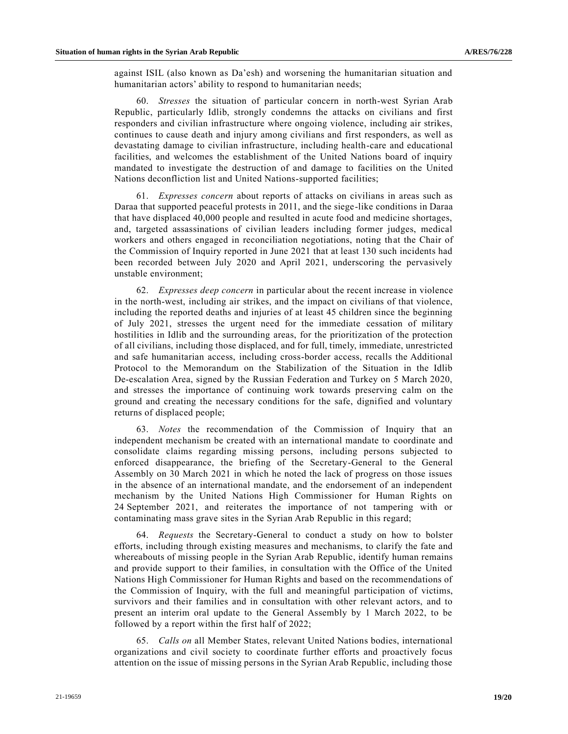against ISIL (also known as Da'esh) and worsening the humanitarian situation and humanitarian actors' ability to respond to humanitarian needs;

60. *Stresses* the situation of particular concern in north-west Syrian Arab Republic, particularly Idlib, strongly condemns the attacks on civilians and first responders and civilian infrastructure where ongoing violence, including air strikes, continues to cause death and injury among civilians and first responders, as well as devastating damage to civilian infrastructure, including health-care and educational facilities, and welcomes the establishment of the United Nations board of inquiry mandated to investigate the destruction of and damage to facilities on the United Nations deconfliction list and United Nations-supported facilities;

61. *Expresses concern* about reports of attacks on civilians in areas such as Daraa that supported peaceful protests in 2011, and the siege-like conditions in Daraa that have displaced 40,000 people and resulted in acute food and medicine shortages, and, targeted assassinations of civilian leaders including former judges, medical workers and others engaged in reconciliation negotiations, noting that the Chair of the Commission of Inquiry reported in June 2021 that at least 130 such incidents had been recorded between July 2020 and April 2021, underscoring the pervasively unstable environment;

62. *Expresses deep concern* in particular about the recent increase in violence in the north-west, including air strikes, and the impact on civilians of that violence, including the reported deaths and injuries of at least 45 children since the beginning of July 2021, stresses the urgent need for the immediate cessation of military hostilities in Idlib and the surrounding areas, for the prioritization of the protection of all civilians, including those displaced, and for full, timely, immediate, unrestricted and safe humanitarian access, including cross-border access, recalls the Additional Protocol to the Memorandum on the Stabilization of the Situation in the Idlib De-escalation Area, signed by the Russian Federation and Turkey on 5 March 2020, and stresses the importance of continuing work towards preserving calm on the ground and creating the necessary conditions for the safe, dignified and voluntary returns of displaced people;

63. *Notes* the recommendation of the Commission of Inquiry that an independent mechanism be created with an international mandate to coordinate and consolidate claims regarding missing persons, including persons subjected to enforced disappearance, the briefing of the Secretary-General to the General Assembly on 30 March 2021 in which he noted the lack of progress on those issues in the absence of an international mandate, and the endorsement of an independent mechanism by the United Nations High Commissioner for Human Rights on 24 September 2021, and reiterates the importance of not tampering with or contaminating mass grave sites in the Syrian Arab Republic in this regard;

64. *Requests* the Secretary-General to conduct a study on how to bolster efforts, including through existing measures and mechanisms, to clarify the fate and whereabouts of missing people in the Syrian Arab Republic, identify human remains and provide support to their families, in consultation with the Office of the United Nations High Commissioner for Human Rights and based on the recommendations of the Commission of Inquiry, with the full and meaningful participation of victims, survivors and their families and in consultation with other relevant actors, and to present an interim oral update to the General Assembly by 1 March 2022, to be followed by a report within the first half of 2022;

65. *Calls on* all Member States, relevant United Nations bodies, international organizations and civil society to coordinate further efforts and proactively focus attention on the issue of missing persons in the Syrian Arab Republic, including those